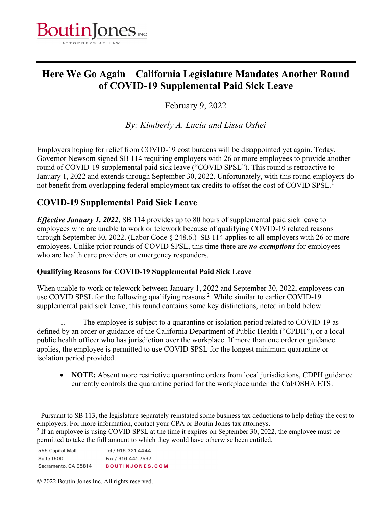

# **Here We Go Again – California Legislature Mandates Another Round of COVID-19 Supplemental Paid Sick Leave**

February 9, 2022

*By: Kimberly A. Lucia and Lissa Oshei* 

Employers hoping for relief from COVID-19 cost burdens will be disappointed yet again. Today, Governor Newsom signed SB 114 requiring employers with 26 or more employees to provide another round of COVID-19 supplemental paid sick leave ("COVID SPSL"). This round is retroactive to January 1, 2022 and extends through September 30, 2022. Unfortunately, with this round employers do not benefit from overlapping federal employment tax credits to offset the cost of COVID SPSL.<sup>1</sup>

## **COVID-19 Supplemental Paid Sick Leave**

*Effective January 1, 2022*, SB 114 provides up to 80 hours of supplemental paid sick leave to employees who are unable to work or telework because of qualifying COVID-19 related reasons through September 30, 2022. (Labor Code § 248.6.) SB 114 applies to all employers with 26 or more employees. Unlike prior rounds of COVID SPSL, this time there are *no exemptions* for employees who are health care providers or emergency responders.

### **Qualifying Reasons for COVID-19 Supplemental Paid Sick Leave**

When unable to work or telework between January 1, 2022 and September 30, 2022, employees can use COVID SPSL for the following qualifying reasons.<sup>2</sup> While similar to earlier COVID-19 supplemental paid sick leave, this round contains some key distinctions, noted in bold below.

1. The employee is subject to a quarantine or isolation period related to COVID-19 as defined by an order or guidance of the California Department of Public Health ("CPDH"), or a local public health officer who has jurisdiction over the workplace. If more than one order or guidance applies, the employee is permitted to use COVID SPSL for the longest minimum quarantine or isolation period provided.

 **NOTE:** Absent more restrictive quarantine orders from local jurisdictions, CDPH guidance currently controls the quarantine period for the workplace under the Cal/OSHA ETS.

 $2$  If an employee is using COVID SPSL at the time it expires on September 30, 2022, the employee must be permitted to take the full amount to which they would have otherwise been entitled.

| 555 Capitol Mall     | Tel / 916.321.4444     |
|----------------------|------------------------|
| Suite 1500           | Fax / 916.441.7597     |
| Sacramento, CA 95814 | <b>BOUTINJONES.COM</b> |

© 2022 Boutin Jones Inc. All rights reserved.

<sup>&</sup>lt;sup>1</sup> Pursuant to SB 113, the legislature separately reinstated some business tax deductions to help defray the cost to employers. For more information, contact your CPA or Boutin Jones tax attorneys.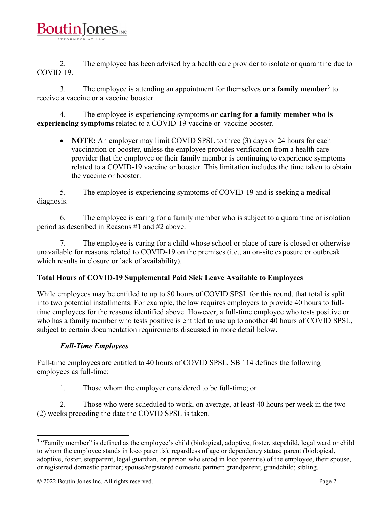

2. The employee has been advised by a health care provider to isolate or quarantine due to COVID-19.

3. The employee is attending an appointment for themselves **or a family member**<sup>3</sup> to receive a vaccine or a vaccine booster.

4. The employee is experiencing symptoms **or caring for a family member who is experiencing symptoms** related to a COVID-19 vaccine or vaccine booster.

• **NOTE:** An employer may limit COVID SPSL to three (3) days or 24 hours for each vaccination or booster, unless the employee provides verification from a health care provider that the employee or their family member is continuing to experience symptoms related to a COVID-19 vaccine or booster. This limitation includes the time taken to obtain the vaccine or booster.

5. The employee is experiencing symptoms of COVID-19 and is seeking a medical diagnosis.

6. The employee is caring for a family member who is subject to a quarantine or isolation period as described in Reasons #1 and #2 above.

7. The employee is caring for a child whose school or place of care is closed or otherwise unavailable for reasons related to COVID-19 on the premises (i.e., an on-site exposure or outbreak which results in closure or lack of availability).

### **Total Hours of COVID-19 Supplemental Paid Sick Leave Available to Employees**

While employees may be entitled to up to 80 hours of COVID SPSL for this round, that total is split into two potential installments. For example, the law requires employers to provide 40 hours to fulltime employees for the reasons identified above. However, a full-time employee who tests positive or who has a family member who tests positive is entitled to use up to another 40 hours of COVID SPSL, subject to certain documentation requirements discussed in more detail below.

### *Full-Time Employees*

Full-time employees are entitled to 40 hours of COVID SPSL. SB 114 defines the following employees as full-time:

1. Those whom the employer considered to be full-time; or

2. Those who were scheduled to work, on average, at least 40 hours per week in the two (2) weeks preceding the date the COVID SPSL is taken.

 <sup>3</sup> "Family member" is defined as the employee's child (biological, adoptive, foster, stepchild, legal ward or child to whom the employee stands in loco parentis), regardless of age or dependency status; parent (biological, adoptive, foster, stepparent, legal guardian, or person who stood in loco parentis) of the employee, their spouse, or registered domestic partner; spouse/registered domestic partner; grandparent; grandchild; sibling.

<sup>© 2022</sup> Boutin Jones Inc. All rights reserved. Page 2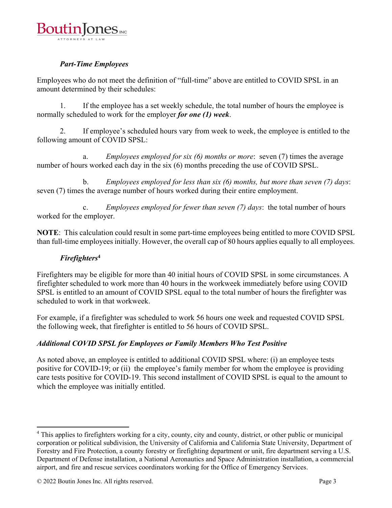

### *Part-Time Employees*

Employees who do not meet the definition of "full-time" above are entitled to COVID SPSL in an amount determined by their schedules:

1. If the employee has a set weekly schedule, the total number of hours the employee is normally scheduled to work for the employer *for one (1) week*.

2. If employee's scheduled hours vary from week to week, the employee is entitled to the following amount of COVID SPSL:

a. *Employees employed for six (6) months or more*: seven (7) times the average number of hours worked each day in the six (6) months preceding the use of COVID SPSL.

b. *Employees employed for less than six (6) months, but more than seven (7) days*: seven (7) times the average number of hours worked during their entire employment.

c. *Employees employed for fewer than seven (7) days*: the total number of hours worked for the employer.

**NOTE**: This calculation could result in some part-time employees being entitled to more COVID SPSL than full-time employees initially. However, the overall cap of 80 hours applies equally to all employees.

#### *Firefighters***<sup>4</sup>**

Firefighters may be eligible for more than 40 initial hours of COVID SPSL in some circumstances. A firefighter scheduled to work more than 40 hours in the workweek immediately before using COVID SPSL is entitled to an amount of COVID SPSL equal to the total number of hours the firefighter was scheduled to work in that workweek.

For example, if a firefighter was scheduled to work 56 hours one week and requested COVID SPSL the following week, that firefighter is entitled to 56 hours of COVID SPSL.

#### *Additional COVID SPSL for Employees or Family Members Who Test Positive*

As noted above, an employee is entitled to additional COVID SPSL where: (i) an employee tests positive for COVID-19; or (ii) the employee's family member for whom the employee is providing care tests positive for COVID-19. This second installment of COVID SPSL is equal to the amount to which the employee was initially entitled.

 <sup>4</sup> This applies to firefighters working for a city, county, city and county, district, or other public or municipal corporation or political subdivision, the University of California and California State University, Department of Forestry and Fire Protection, a county forestry or firefighting department or unit, fire department serving a U.S. Department of Defense installation, a National Aeronautics and Space Administration installation, a commercial airport, and fire and rescue services coordinators working for the Office of Emergency Services.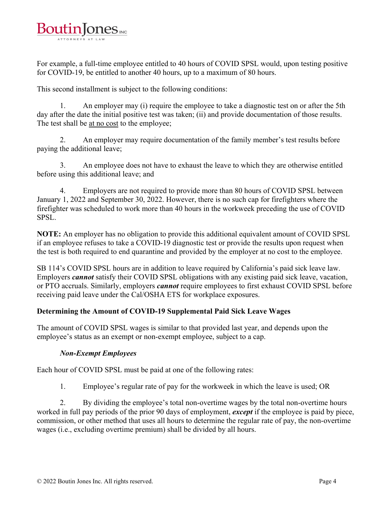

For example, a full-time employee entitled to 40 hours of COVID SPSL would, upon testing positive for COVID-19, be entitled to another 40 hours, up to a maximum of 80 hours.

This second installment is subject to the following conditions:

1. An employer may (i) require the employee to take a diagnostic test on or after the 5th day after the date the initial positive test was taken; (ii) and provide documentation of those results. The test shall be at no cost to the employee;

2. An employer may require documentation of the family member's test results before paying the additional leave;

3. An employee does not have to exhaust the leave to which they are otherwise entitled before using this additional leave; and

4. Employers are not required to provide more than 80 hours of COVID SPSL between January 1, 2022 and September 30, 2022. However, there is no such cap for firefighters where the firefighter was scheduled to work more than 40 hours in the workweek preceding the use of COVID SPSL.

**NOTE:** An employer has no obligation to provide this additional equivalent amount of COVID SPSL if an employee refuses to take a COVID-19 diagnostic test or provide the results upon request when the test is both required to end quarantine and provided by the employer at no cost to the employee.

SB 114's COVID SPSL hours are in addition to leave required by California's paid sick leave law. Employers *cannot* satisfy their COVID SPSL obligations with any existing paid sick leave, vacation, or PTO accruals. Similarly, employers *cannot* require employees to first exhaust COVID SPSL before receiving paid leave under the Cal/OSHA ETS for workplace exposures.

#### **Determining the Amount of COVID-19 Supplemental Paid Sick Leave Wages**

The amount of COVID SPSL wages is similar to that provided last year, and depends upon the employee's status as an exempt or non-exempt employee, subject to a cap.

#### *Non-Exempt Employees*

Each hour of COVID SPSL must be paid at one of the following rates:

1. Employee's regular rate of pay for the workweek in which the leave is used; OR

2. By dividing the employee's total non-overtime wages by the total non-overtime hours worked in full pay periods of the prior 90 days of employment, *except* if the employee is paid by piece, commission, or other method that uses all hours to determine the regular rate of pay, the non-overtime wages (i.e., excluding overtime premium) shall be divided by all hours.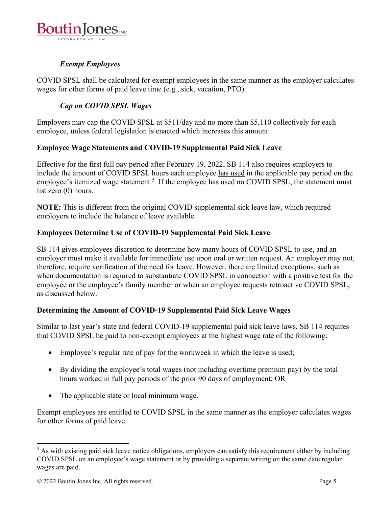

### *Exempt Employees*

COVID SPSL shall be calculated for exempt employees in the same manner as the employer calculates wages for other forms of paid leave time (e.g., sick, vacation, PTO).

### *Cap on COVID SPSL Wages*

Employers may cap the COVID SPSL at \$511/day and no more than \$5,110 collectively for each employee, unless federal legislation is enacted which increases this amount.

#### **Employee Wage Statements and COVID-19 Supplemental Paid Sick Leave**

Effective for the first full pay period after February 19, 2022, SB 114 also requires employers to include the amount of COVID SPSL hours each employee has used in the applicable pay period on the employee's itemized wage statement.<sup>5</sup> If the employee has used no COVID SPSL, the statement must list zero (0) hours.

**NOTE:** This is different from the original COVID supplemental sick leave law, which required employers to include the balance of leave available.

### **Employees Determine Use of COVID-19 Supplemental Paid Sick Leave**

SB 114 gives employees discretion to determine how many hours of COVID SPSL to use, and an employer must make it available for immediate use upon oral or written request. An employer may not, therefore, require verification of the need for leave. However, there are limited exceptions, such as when documentation is required to substantiate COVID SPSL in connection with a positive test for the employee or the employee's family member or when an employee requests retroactive COVID SPSL, as discussed below.

### **Determining the Amount of COVID-19 Supplemental Paid Sick Leave Wages**

Similar to last year's state and federal COVID-19 supplemental paid sick leave laws, SB 114 requires that COVID SPSL be paid to non-exempt employees at the highest wage rate of the following:

- Employee's regular rate of pay for the workweek in which the leave is used;
- By dividing the employee's total wages (not including overtime premium pay) by the total hours worked in full pay periods of the prior 90 days of employment; OR
- The applicable state or local minimum wage.

Exempt employees are entitled to COVID SPSL in the same manner as the employer calculates wages for other forms of paid leave.

 <sup>5</sup> As with existing paid sick leave notice obligations, employers can satisfy this requirement either by including COVID SPSL on an employee's wage statement or by providing a separate writing on the same date regular wages are paid.

<sup>© 2022</sup> Boutin Jones Inc. All rights reserved. Page 5